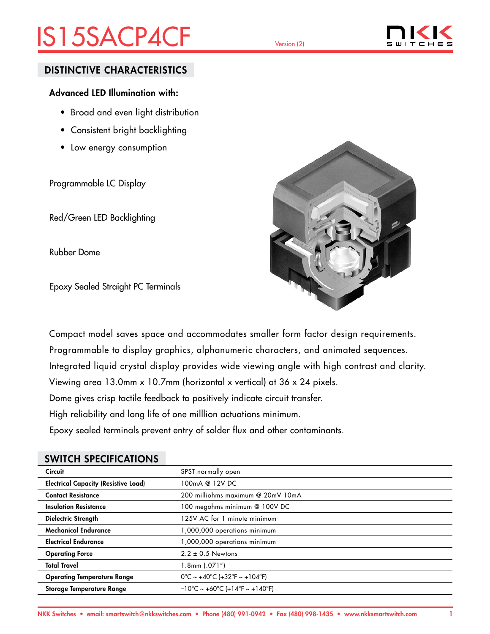# IS15SACP4CF Version (2)



## DISTINCTIVE CHARACTERISTICS

## Advanced LED Illumination with:

- Broad and even light distribution
- Consistent bright backlighting
- Low energy consumption

Programmable LC Display

Red/Green LED Backlighting

Rubber Dome

Epoxy Sealed Straight PC Terminals



Compact model saves space and accommodates smaller form factor design requirements. Programmable to display graphics, alphanumeric characters, and animated sequences. Integrated liquid crystal display provides wide viewing angle with high contrast and clarity. Viewing area 13.0mm x 10.7mm (horizontal x vertical) at 36 x 24 pixels. Dome gives crisp tactile feedback to positively indicate circuit transfer. High reliability and long life of one milllion actuations minimum. Epoxy sealed terminals prevent entry of solder flux and other contaminants.

## SWITCH SPECIFICATIONS

| <b>Circuit</b>                              | SPST normally open                                                        |
|---------------------------------------------|---------------------------------------------------------------------------|
| <b>Electrical Capacity (Resistive Load)</b> | 100mA @ 12V DC                                                            |
| <b>Contact Resistance</b>                   | 200 milliohms maximum @ 20mV 10mA                                         |
| <b>Insulation Resistance</b>                | 100 megohms minimum @ 100V DC                                             |
| Dielectric Strength                         | 125V AC for 1 minute minimum                                              |
| <b>Mechanical Endurance</b>                 | 1,000,000 operations minimum                                              |
| <b>Electrical Endurance</b>                 | 1,000,000 operations minimum                                              |
| <b>Operating Force</b>                      | $2.2 \pm 0.5$ Newtons                                                     |
| <b>Total Travel</b>                         | 1.8mm (.071")                                                             |
| <b>Operating Temperature Range</b>          | $0^{\circ}$ C ~ +40 $^{\circ}$ C (+32 $^{\circ}$ F ~ +104 $^{\circ}$ F)   |
| Storage Temperature Range                   | $-10^{\circ}$ C ~ +60 $^{\circ}$ C (+14 $^{\circ}$ F ~ +140 $^{\circ}$ F) |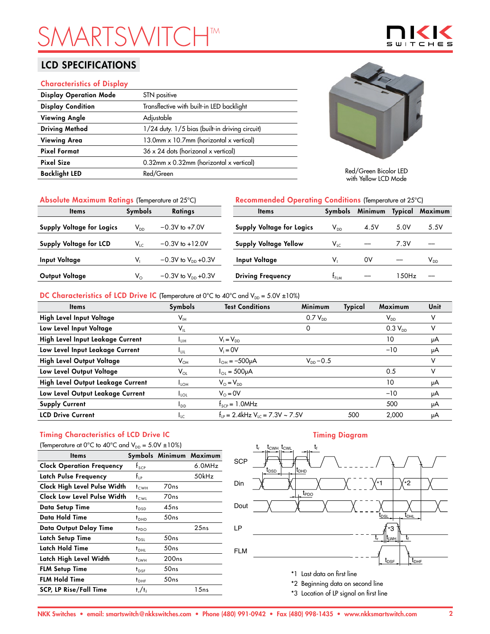# **SMARTSHTM**

## LCD SPECIFICATIONS

#### Characteristics of Display

| <b>Display Operation Mode</b> | STN positive                                   |
|-------------------------------|------------------------------------------------|
| <b>Display Condition</b>      | Transflective with built-in LED backlight      |
| <b>Viewing Angle</b>          | Adjustable                                     |
| <b>Driving Method</b>         | 1/24 duty. 1/5 bias (built-in driving circuit) |
| <b>Viewing Area</b>           | 13.0mm x 10.7mm (horizontal x vertical)        |
| <b>Pixel Format</b>           | $36 \times 24$ dots (horizonal x vertical)     |
| <b>Pixel Size</b>             | $0.32$ mm x 0.32mm (horizontal x vertical)     |
| <b>Backlight LED</b>          | Red/Green                                      |
|                               |                                                |



Red/Green Bicolor LED with Yellow LCD Mode

| Absolute Maximum Ratings (Temperature at 25°C) |                            |                                  | Recommended Operating Conditions (Temperature at 25°C) |                            |         |       |                 |
|------------------------------------------------|----------------------------|----------------------------------|--------------------------------------------------------|----------------------------|---------|-------|-----------------|
| <b>Items</b>                                   | <b>Symbols</b>             | <b>Ratings</b>                   | <b>Items</b>                                           | Symbols                    | Minimum |       | Typical Maximum |
| <b>Supply Voltage for Logics</b>               | $\mathsf{V}_{\mathsf{DD}}$ | $-0.3V$ to $+7.0V$               | <b>Supply Voltage for Logics</b>                       | $\mathsf{V}_{\mathsf{DD}}$ | 4.5V    | 5.0V  | 5.5V            |
| <b>Supply Voltage for LCD</b>                  | $V_{LC}$                   | $-0.3V$ to $+12.0V$              | <b>Supply Voltage Yellow</b>                           | $V_{LC}$                   |         | 7.3V  |                 |
| <b>Input Voltage</b>                           |                            | $-0.3V$ to $V_{DD}$ +0.3V        | Input Voltage                                          | v,                         | 0V      |       | $V_{DD}$        |
| Output Voltage                                 | $V_{\odot}$                | $-0.3V$ to $V_{\text{DD}}$ +0.3V | <b>Driving Frequency</b>                               | $t_{FLM}$                  |         | 150Hz |                 |

### DC Characteristics of LCD Drive IC (Temperature at 0°C to 40°C and  $V_{DD} = 5.0V \pm 10\%$ )

| <b>Items</b>                      | Symbols                    | <b>Test Conditions</b>                           | <b>Minimum</b> | Typical | Maximum                    | Unit |
|-----------------------------------|----------------------------|--------------------------------------------------|----------------|---------|----------------------------|------|
| High Level Input Voltage          | $\mathsf{V}_{\mathsf{IH}}$ |                                                  | $0.7 V_{DD}$   |         | $\mathsf{V}_{\mathsf{DD}}$ |      |
| Low Level Input Voltage           | $\mathsf{V}_{\mathsf{IL}}$ |                                                  | 0              |         | $0.3 V_{DD}$               | v    |
| High Level Input Leakage Current  | Īин                        | $V_1 = V_{DD}$                                   |                |         | 10                         | μA   |
| Low Level Input Leakage Current   | <b>LUL</b>                 | $V_i = 0V$                                       |                |         | $-10$                      | μA   |
| High Level Output Voltage         | $\mathsf{V}_{\mathsf{OH}}$ | $I_{OH} = -500 \mu A$                            | $V_{DD} - 0.5$ |         |                            | v    |
| Low Level Output Voltage          | $V_{OL}$                   | $I_{OL} = 500 \mu A$                             |                |         | 0.5                        | v    |
| High Level Output Leakage Current | $I_{LOH}$                  | $V_{\odot} = V_{\text{DD}}$                      |                |         | 10                         | μA   |
| Low Level Output Leakage Current  | $I_{\text{LOL}}$           | $V_0 = 0V$                                       |                |         | $-10$                      | μA   |
| <b>Supply Current</b>             | $I_{DD}$                   | $f_{\text{SCP}} = 1.0$ MHz                       |                |         | 500                        | μA   |
| <b>LCD Drive Current</b>          | $I_{LC}$                   | $f_{1p} = 2.4$ kHz V <sub>10</sub> = 7.3V ~ 7.5V |                | 500     | 2.000                      | μA   |

# Timing Characteristics of LCD Drive IC

| (Temperature at 0°C to 40°C and $V_{DD} = 5.0V \pm 10\%$ ) |                  |                   |                         |  |  |  |
|------------------------------------------------------------|------------------|-------------------|-------------------------|--|--|--|
| <b>Items</b>                                               |                  |                   | Symbols Minimum Maximum |  |  |  |
| <b>Clock Operation Frequency</b>                           | $f_{\text{SCP}}$ |                   | 6.0MHz                  |  |  |  |
| Latch Pulse Frequency                                      | $f_{\rm IP}$     |                   | 50kHz                   |  |  |  |
| Clock High Level Pulse Width                               | $t_{\text{CWH}}$ | 70 <sub>ns</sub>  |                         |  |  |  |
| Clock Low Level Pulse Width                                | t <sub>cwi</sub> | 70 <sub>ns</sub>  |                         |  |  |  |
| Data Setup Time                                            | $t_{\text{DSD}}$ | 45ns              |                         |  |  |  |
| Data Hold Time                                             | $t_{DHD}$        | 50ns              |                         |  |  |  |
| Data Output Delay Time                                     | $t_{PDO}$        |                   | 25ns                    |  |  |  |
| Latch Setup Time                                           | $t_{DSL}$        | 50ns              |                         |  |  |  |
| Latch Hold Time                                            | $t_{DHL}$        | 50ns              |                         |  |  |  |
| Latch High Level Width                                     | <sup>†</sup> LWH | 200 <sub>ns</sub> |                         |  |  |  |
| <b>FLM Setup Time</b>                                      | $t_{DSF}$        | 50ns              |                         |  |  |  |
| <b>FLM Hold Time</b>                                       | $t_{\text{DHF}}$ | 50ns              |                         |  |  |  |
| <b>SCP, LP Rise/Fall Time</b>                              | $t_r/t_f$        |                   | 1 5 n s                 |  |  |  |

#### Timing Diagram



- 
- \*3 Location of LP signal on first line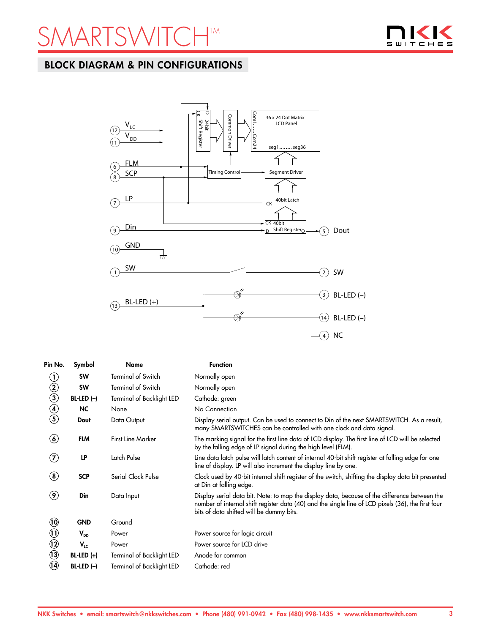



## BLOCK DIAGRAM & PIN CONFIGURATIONS



| Pin No.                         | <b>Symbol</b> | Name                             | <b>Function</b>                                                                                                                                                                                                                                 |
|---------------------------------|---------------|----------------------------------|-------------------------------------------------------------------------------------------------------------------------------------------------------------------------------------------------------------------------------------------------|
| $\left(  \right)$               | <b>SW</b>     | Terminal of Switch               | Normally open                                                                                                                                                                                                                                   |
| $\circled{2}$                   | <b>SW</b>     | <b>Terminal of Switch</b>        | Normally open                                                                                                                                                                                                                                   |
| $\bar{\textbf{3}}$              | $BL-LED (-)$  | <b>Terminal of Backlight LED</b> | Cathode: green                                                                                                                                                                                                                                  |
| $\bigcirc$                      | <b>NC</b>     | None                             | No Connection                                                                                                                                                                                                                                   |
| $\circledS$                     | Dout          | Data Output                      | Display serial output. Can be used to connect to Din of the next SMARTSWITCH. As a result,<br>many SMARTSWITCHES can be controlled with one clock and data signal.                                                                              |
| $\bf(6)$                        | <b>FLM</b>    | <b>First Line Marker</b>         | The marking signal for the first line data of LCD display. The first line of LCD will be selected<br>by the falling edge of LP signal during the high level (FLM).                                                                              |
| $\left( \mathbf{2}\right)$      | LP            | Latch Pulse                      | Line data latch pulse will latch content of internal 40-bit shift register at falling edge for one<br>line of display. LP will also increment the display line by one.                                                                          |
| $\bf{(8)}$                      | <b>SCP</b>    | Serial Clock Pulse               | Clock used by 40-bit internal shift register of the switch, shifting the display data bit presented<br>at Din at falling edge.                                                                                                                  |
| $\left( \mathbf{\Theta}\right)$ | Din           | Data Input                       | Display serial data bit. Note: to map the display data, because of the difference between the<br>number of internal shift register data (40) and the single line of LCD pixels (36), the first four<br>bits of data shifted will be dummy bits. |
| $\ddot{\bm{\theta}}$            | <b>GND</b>    | Ground                           |                                                                                                                                                                                                                                                 |
| $\textcircled{\scriptsize{1}}$  | $V_{DD}$      | Power                            | Power source for logic circuit                                                                                                                                                                                                                  |
| $\odot$                         | $V_{LC}$      | Power                            | Power source for LCD drive                                                                                                                                                                                                                      |
| $\odot$                         | $BL-LED (+)$  | Terminal of Backlight LED        | Anode for common                                                                                                                                                                                                                                |
| 9                               | $BL-LED (-)$  | <b>Terminal of Backlight LED</b> | Cathode: red                                                                                                                                                                                                                                    |